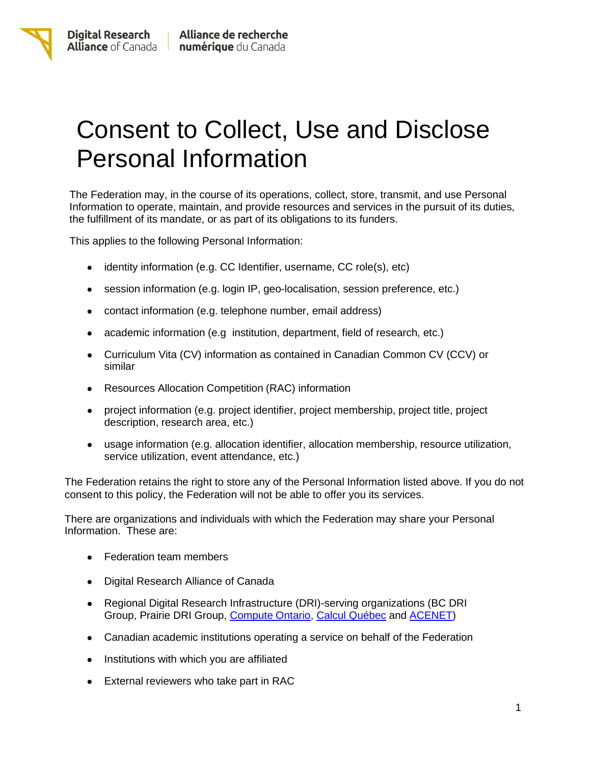## Consent to Collect, Use and Disclose Personal Information

The Federation may, in the course of its operations, collect, store, transmit, and use Personal Information to operate, maintain, and provide resources and services in the pursuit of its duties, the fulfillment of its mandate, or as part of its obligations to its funders.

This applies to the following Personal Information:

- identity information (e.g. CC Identifier, username, CC role(s), etc)
- session information (e.g. login IP, geo-localisation, session preference, etc.)
- contact information (e.g. telephone number, email address)
- academic information (e.g institution, department, field of research, etc.)
- Curriculum Vita (CV) information as contained in Canadian Common CV (CCV) or similar
- Resources Allocation Competition (RAC) information
- project information (e.g. project identifier, project membership, project title, project description, research area, etc.)
- usage information (e.g. allocation identifier, allocation membership, resource utilization, service utilization, event attendance, etc.)

The Federation retains the right to store any of the Personal Information listed above. If you do not consent to this policy, the Federation will not be able to offer you its services.

There are organizations and individuals with which the Federation may share your Personal Information. These are:

- Federation team members
- Digital Research Alliance of Canada
- Regional Digital Research Infrastructure (DRI)-serving organizations (BC DRI Group, Prairie DRI Group, [Compute](https://computeontario.ca/) Ontario, Calcul [Québec](https://www.calculquebec.ca/en/) and [ACENET\)](https://www.ace-net.ca/)
- Canadian academic institutions operating a service on behalf of the Federation
- Institutions with which you are affiliated
- External reviewers who take part in RAC